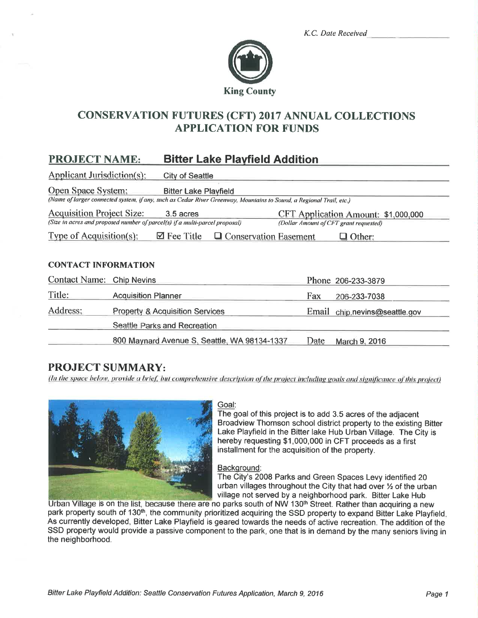|  | K.C. Date Received |
|--|--------------------|
|  |                    |



# **CONSERVATION FUTURES (CFT) 2017 ANNUAL COLLECTIONS APPLICATION FOR FUNDS**

#### **PROJECT NAME: Bitter Lake Playfield Addition**

Applicant Jurisdiction(s): **City of Seattle** 

**Open Space System: Bitter Lake Playfield** 

(Name of larger connected system, if any, such as Cedar River Greenway, Mountains to Sound, a Regional Trail, etc.)

**Acquisition Project Size:** 3.5 acres CFT Application Amount: \$1,000,000 (Size in acres and proposed number of parcel(s) if a multi-parcel proposal) (Dollar Amount of CFT grant requested)

Type of Acquisition(s):  $\Box$  Fee Title  $\Box$  Conservation Easement  $\Box$  Other:

#### **CONTACT INFORMATION**

| Contact Name: Chip Nevins |                                              |      | Phone 206-233-3879            |
|---------------------------|----------------------------------------------|------|-------------------------------|
| Title:                    | <b>Acquisition Planner</b>                   | Fax  | 206-233-7038                  |
| Address:                  | <b>Property &amp; Acquisition Services</b>   |      | Email chip.nevins@seattle.gov |
|                           | Seattle Parks and Recreation                 |      |                               |
|                           | 800 Maynard Avenue S, Seattle, WA 98134-1337 | Date | March 9, 2016                 |

## **PROJECT SUMMARY:**

(In the space below, provide a brief, but comprehensive description of the project including goals and significance of this project)



#### Goal:

The goal of this project is to add 3.5 acres of the adjacent Broadview Thomson school district property to the existing Bitter Lake Playfield in the Bitter lake Hub Urban Village. The City is hereby requesting \$1,000,000 in CFT proceeds as a first installment for the acquisition of the property.

#### Background:

The City's 2008 Parks and Green Spaces Levy identified 20 urban villages throughout the City that had over 1/2 of the urban village not served by a neighborhood park. Bitter Lake Hub

Urban Village is on the list, because there are no parks south of NW 130<sup>th</sup> Street. Rather than acquiring a new park property south of 130<sup>th</sup>, the community prioritized acquiring the SSD property to expand Bitter Lake Playfield. As currently developed, Bitter Lake Playfield is geared towards the needs of active recreation. The addition of the SSD property would provide a passive component to the park, one that is in demand by the many seniors living in the neighborhood.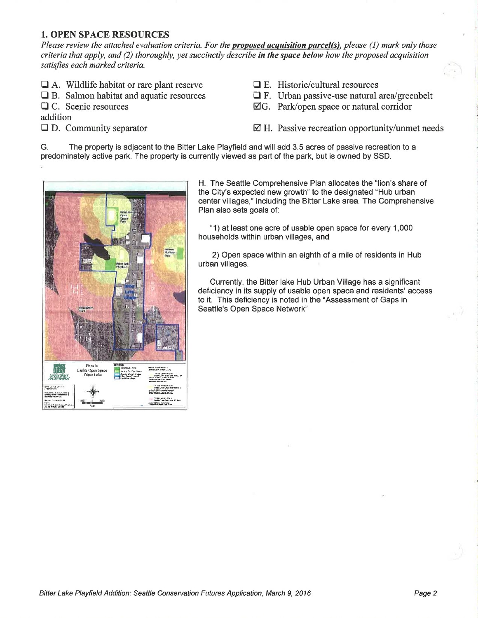## **1. OPEN SPACE RESOURCES**

Please review the attached evaluation criteria. For the **proposed acquisition parcel(s)**, please  $(1)$  mark only those criteria that apply, and (2) thoroughly, yet succinctly describe in the space below how the proposed acquisition satisfies each marked criteria.

- $\Box$  A. Wildlife habitat or rare plant reserve
- $\Box$  B. Salmon habitat and aquatic resources
- $\Box$  C. Scenic resources

addition

 $\Box$  D. Community separator

- $\Box$  E. Historic/cultural resources
- $\Box$  F. Urban passive-use natural area/greenbelt
- $\boxtimes$ G. Park/open space or natural corridor

 $\boxtimes$  H. Passive recreation opportunity/unmet needs

The property is adjacent to the Bitter Lake Playfield and will add 3.5 acres of passive recreation to a G. predominately active park. The property is currently viewed as part of the park, but is owned by SSD.



H. The Seattle Comprehensive Plan allocates the "lion's share of the City's expected new growth" to the designated "Hub urban center villages," including the Bitter Lake area. The Comprehensive Plan also sets goals of:

"1) at least one acre of usable open space for every 1,000 households within urban villages, and

2) Open space within an eighth of a mile of residents in Hub urban villages.

Currently, the Bitter lake Hub Urban Village has a significant deficiency in its supply of usable open space and residents' access to it. This deficiency is noted in the "Assessment of Gaps in Seattle's Open Space Network"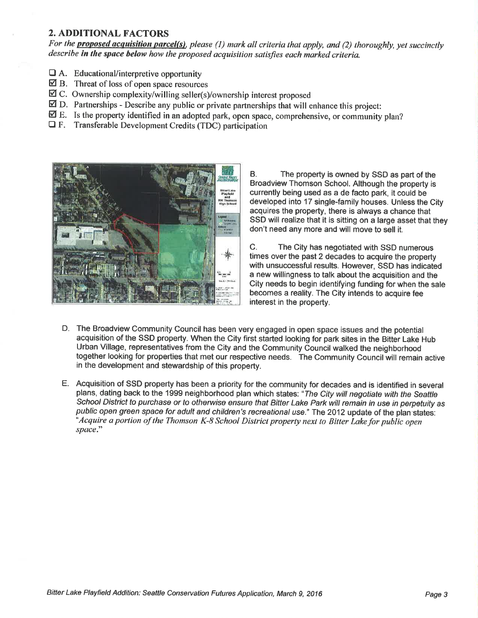### **2. ADDITIONAL FACTORS**

For the **proposed acquisition parcel(s)**, please (1) mark all criteria that apply, and (2) thoroughly, yet succinctly describe in the space below how the proposed acquisition satisfies each marked criteria.

- $\Box$  A. Educational/interpretive opportunity
- $\boxtimes$  B. Threat of loss of open space resources
- $\boxtimes$  C. Ownership complexity/willing seller(s)/ownership interest proposed
- $\boxtimes$  D. Partnerships Describe any public or private partnerships that will enhance this project:
- $\boxtimes$  E. Is the property identified in an adopted park, open space, comprehensive, or community plan?
- $\Box$  F. Transferable Development Credits (TDC) participation



**B** The property is owned by SSD as part of the Broadview Thomson School. Although the property is currently being used as a de facto park, it could be developed into 17 single-family houses. Unless the City acquires the property, there is always a chance that SSD will realize that it is sitting on a large asset that they don't need any more and will move to sell it.

The City has negotiated with SSD numerous  $C_{\cdot}$ times over the past 2 decades to acquire the property with unsuccessful results. However, SSD has indicated a new willingness to talk about the acquisition and the City needs to begin identifying funding for when the sale becomes a reality. The City intends to acquire fee interest in the property.

- D. The Broadview Community Council has been very engaged in open space issues and the potential acquisition of the SSD property. When the City first started looking for park sites in the Bitter Lake Hub Urban Village, representatives from the City and the Community Council walked the neighborhood together looking for properties that met our respective needs. The Community Council will remain active in the development and stewardship of this property.
- E. Acquisition of SSD property has been a priority for the community for decades and is identified in several plans, dating back to the 1999 neighborhood plan which states: "The City will negotiate with the Seattle School District to purchase or to otherwise ensure that Bitter Lake Park will remain in use in perpetuity as public open green space for adult and children's recreational use." The 2012 update of the plan states: Acquire a portion of the Thomson K-8 School District property next to Bitter Lake for public open<sup>\*</sup> space."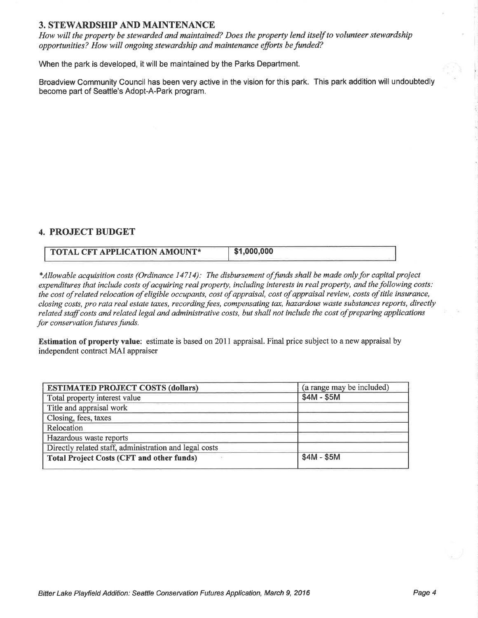#### 3. STEWARDSHIP AND MAINTENANCE

How will the property be stewarded and maintained? Does the property lend itself to volunteer stewardship opportunities? How will ongoing stewardship and maintenance efforts befunded?

When the park is developed, it will be maintained by the Parks Department.

Broadview Community Council has been very active in the vision for this park. This park addition will undoubtedly become part of Seattle's Adopt-A-Park program.

### 4. PROJECT BUDGET

| <b>TOTAL CFT APPLICATION AMOUNT*</b> | \$1,000,000 |
|--------------------------------------|-------------|
|                                      |             |

\*Allowable acquisition costs (Ordinance 14714): The disbursement offunds shall be made onlyþr capital project expenditures that include costs of acquiring real property, including interests in real property, and the following costs: the cost of related relocation of eligible occupants, cost of appraisal, cost of appraisal review, costs of title insurance, closing costs, pro rata real estate taxes, recording fees, compensating tax, hazardous waste substances reports, directly related staff costs and related legal and administrative costs, but shall not include the cost of preparing applications for conservation futures funds.

Estimation of property value: estimate is based on 2011 appraisal. Final price subject to a new appraisal by independent contract MAI appraiser

| <b>ESTIMATED PROJECT COSTS (dollars)</b>               | (a range may be included) |
|--------------------------------------------------------|---------------------------|
| Total property interest value                          | $$4M - $5M$$              |
| Title and appraisal work                               |                           |
| Closing, fees, taxes                                   |                           |
| Relocation                                             |                           |
| Hazardous waste reports                                |                           |
| Directly related staff, administration and legal costs |                           |
| <b>Total Project Costs (CFT and other funds)</b>       | $$4M - $5M$               |
|                                                        |                           |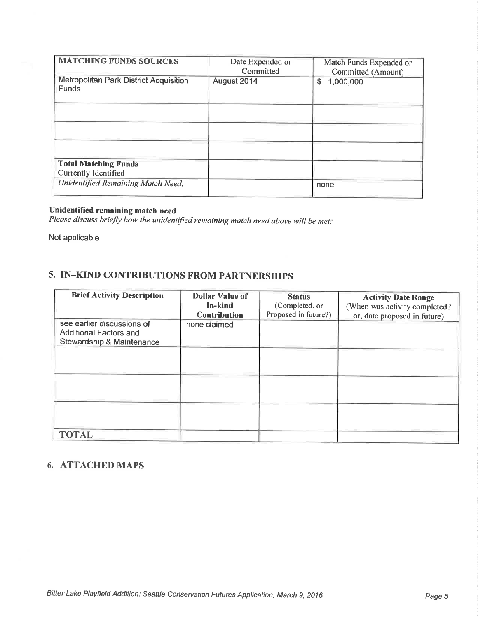| <b>MATCHING FUNDS SOURCES</b>                          | Date Expended or | Match Funds Expended or |
|--------------------------------------------------------|------------------|-------------------------|
|                                                        | Committed        | Committed (Amount)      |
| Metropolitan Park District Acquisition<br><b>Funds</b> | August 2014      | 1,000,000<br>\$         |
|                                                        |                  |                         |
|                                                        |                  |                         |
|                                                        |                  |                         |
| <b>Total Matching Funds</b>                            |                  |                         |
| Currently Identified                                   |                  |                         |
| <b>Unidentified Remaining Match Need:</b>              |                  | none                    |

#### Unidentified remaining match need

Please discuss briefly how the unidentified remaining match need above will be met:

Not applicable

# 5. IN-KIND CONTRIBUTIONS FROM PARTNERSHIPS

| <b>Brief Activity Description</b>                                                        | <b>Dollar Value of</b><br>In-kind<br><b>Contribution</b> | <b>Status</b><br>(Completed, or<br>Proposed in future?) | <b>Activity Date Range</b><br>(When was activity completed?<br>or, date proposed in future) |
|------------------------------------------------------------------------------------------|----------------------------------------------------------|---------------------------------------------------------|---------------------------------------------------------------------------------------------|
| see earlier discussions of<br><b>Additional Factors and</b><br>Stewardship & Maintenance | none claimed                                             |                                                         |                                                                                             |
|                                                                                          |                                                          |                                                         |                                                                                             |
|                                                                                          |                                                          |                                                         |                                                                                             |
|                                                                                          |                                                          |                                                         |                                                                                             |
| <b>TOTAL</b>                                                                             |                                                          |                                                         |                                                                                             |

## 6. ATTACHED MAPS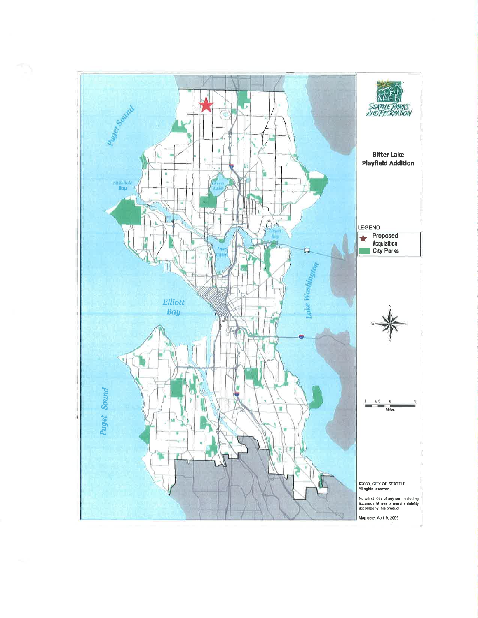